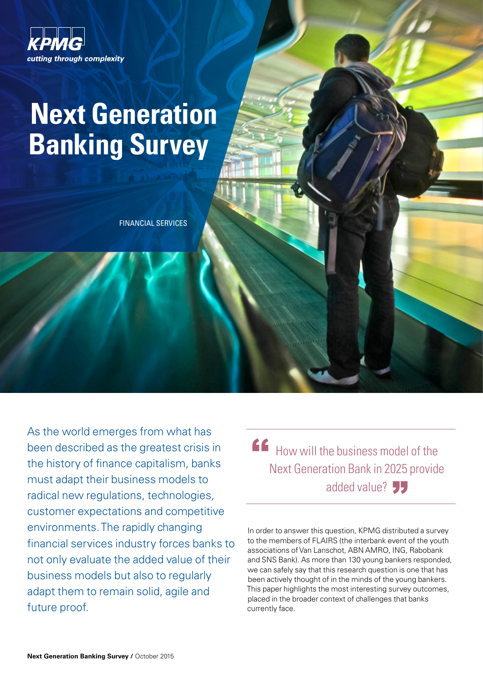

# **Next Generation Banking Survey**

FINANCIAL SERVICES

As the world emerges from what has been described as the greatest crisis in the history of finance capitalism, banks must adapt their business models to radical new regulations, technologies, customer expectations and competitive environments. The rapidly changing financial services industry forces banks to not only evaluate the added value of their business models but also to regularly adapt them to remain solid, agile and future proof.

How will the business model of the Next Generation Bank in 2025 provide added value? ソフ  $f$ 

In order to answer this question, KPMG distributed a survey to the members of FLAIRS (the interbank event of the youth associations of Van Lanschot, ABN AMRO, ING, Rabobank and SNS Bank). As more than 130 young bankers responded, we can safely say that this research question is one that has been actively thought of in the minds of the young bankers. This paper highlights the most interesting survey outcomes, placed in the broader context of challenges that banks currently face.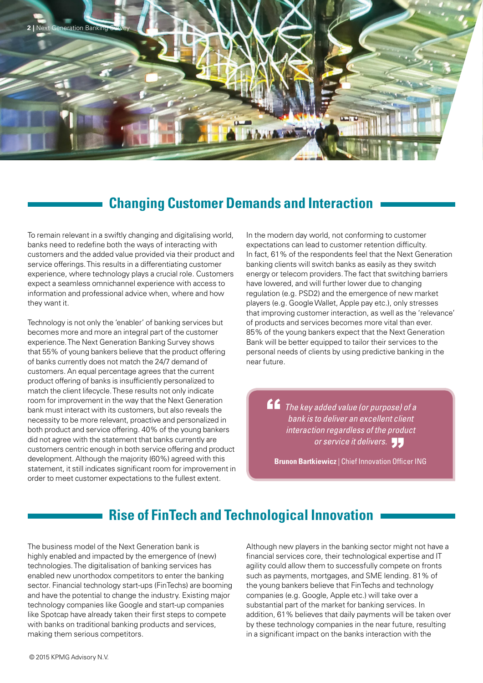

## **Changing Customer Demands and Interaction**

To remain relevant in a swiftly changing and digitalising world, banks need to redefine both the ways of interacting with customers and the added value provided via their product and service offerings. This results in a differentiating customer experience, where technology plays a crucial role. Customers expect a seamless omnichannel experience with access to information and professional advice when, where and how they want it.

Technology is not only the 'enabler' of banking services but becomes more and more an integral part of the customer experience. The Next Generation Banking Survey shows that 55% of young bankers believe that the product offering of banks currently does not match the 24/7 demand of customers. An equal percentage agrees that the current product offering of banks is insufficiently personalized to match the client lifecycle. These results not only indicate room for improvement in the way that the Next Generation bank must interact with its customers, but also reveals the necessity to be more relevant, proactive and personalized in both product and service offering. 40% of the young bankers did not agree with the statement that banks currently are customers centric enough in both service offering and product development. Although the majority (60%) agreed with this statement, it still indicates significant room for improvement in order to meet customer expectations to the fullest extent.

In the modern day world, not conforming to customer expectations can lead to customer retention difficulty. In fact, 61% of the respondents feel that the Next Generation banking clients will switch banks as easily as they switch energy or telecom providers. The fact that switching barriers have lowered, and will further lower due to changing regulation (e.g. PSD2) and the emergence of new market players (e.g. Google Wallet, Apple pay etc.), only stresses that improving customer interaction, as well as the 'relevance' of products and services becomes more vital than ever. 85% of the young bankers expect that the Next Generation Bank will be better equipped to tailor their services to the personal needs of clients by using predictive banking in the near future.

**ff** The key added value (or purpose) of a bank is to deliver an excellent client *bank is to deliver an excellent client interaction regardless of the product or service it delivers.*<br> **Explor**ing Library longering Office

**Brunon Bartkiewicz | Chief Innovation Officer ING** 

## **Rise of FinTech and Technological Innovation**

The business model of the Next Generation bank is highly enabled and impacted by the emergence of (new) technologies. The digitalisation of banking services has enabled new unorthodox competitors to enter the banking sector. Financial technology start-ups (FinTechs) are booming and have the potential to change the industry. Existing major technology companies like Google and start-up companies like Spotcap have already taken their first steps to compete with banks on traditional banking products and services, making them serious competitors.

Although new players in the banking sector might not have a financial services core, their technological expertise and IT agility could allow them to successfully compete on fronts such as payments, mortgages, and SME lending. 81% of the young bankers believe that FinTechs and technology companies (e.g. Google, Apple etc.) will take over a substantial part of the market for banking services. In addition, 61% believes that daily payments will be taken over by these technology companies in the near future, resulting in a significant impact on the banks interaction with the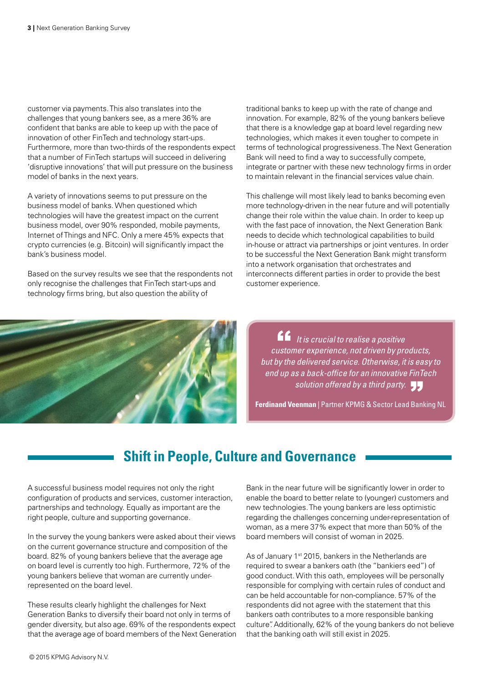customer via payments. This also translates into the challenges that young bankers see, as a mere 36% are confident that banks are able to keep up with the pace of innovation of other FinTech and technology start-ups. Furthermore, more than two-thirds of the respondents expect that a number of FinTech startups will succeed in delivering 'disruptive innovations' that will put pressure on the business model of banks in the next years.

A variety of innovations seems to put pressure on the business model of banks. When questioned which technologies will have the greatest impact on the current business model, over 90% responded, mobile payments, Internet of Things and NFC. Only a mere 45% expects that crypto currencies (e.g. Bitcoin) will significantly impact the bank's business model.

Based on the survey results we see that the respondents not only recognise the challenges that FinTech start-ups and technology firms bring, but also question the ability of

traditional banks to keep up with the rate of change and innovation. For example, 82% of the young bankers believe that there is a knowledge gap at board level regarding new technologies, which makes it even tougher to compete in terms of technological progressiveness. The Next Generation Bank will need to find a way to successfully compete, integrate or partner with these new technology firms in order to maintain relevant in the financial services value chain.

This challenge will most likely lead to banks becoming even more technology-driven in the near future and will potentially change their role within the value chain. In order to keep up with the fast pace of innovation, the Next Generation Bank needs to decide which technological capabilities to build in-house or attract via partnerships or joint ventures. In order to be successful the Next Generation Bank might transform into a network organisation that orchestrates and interconnects different parties in order to provide the best customer experience.



*If* It is crucial to realise a positive<br>ustomer experience, not driven by pre *customer experience, not driven by products, but by the delivered service. Otherwise, it is easy to end up as a back-office for an innovative FinTech solution offered by a third party.* "

**Ferdinand Veenman** | Partner KPMG & Sector Lead Banking NL

# **Shift in People, Culture and Governance**

A successful business model requires not only the right configuration of products and services, customer interaction, partnerships and technology. Equally as important are the right people, culture and supporting governance.

In the survey the young bankers were asked about their views on the current governance structure and composition of the board. 82% of young bankers believe that the average age on board level is currently too high. Furthermore, 72% of the young bankers believe that woman are currently underrepresented on the board level.

These results clearly highlight the challenges for Next Generation Banks to diversify their board not only in terms of gender diversity, but also age. 69% of the respondents expect that the average age of board members of the Next Generation Bank in the near future will be significantly lower in order to enable the board to better relate to (younger) customers and new technologies. The young bankers are less optimistic regarding the challenges concerning under-representation of woman, as a mere 37% expect that more than 50% of the board members will consist of woman in 2025.

As of January 1<sup>st</sup> 2015, bankers in the Netherlands are required to swear a bankers oath (the "bankiers eed") of good conduct. With this oath, employees will be personally responsible for complying with certain rules of conduct and can be held accountable for non-compliance. 57% of the respondents did not agree with the statement that this bankers oath contributes to a more responsible banking culture". Additionally, 62% of the young bankers do not believe that the banking oath will still exist in 2025.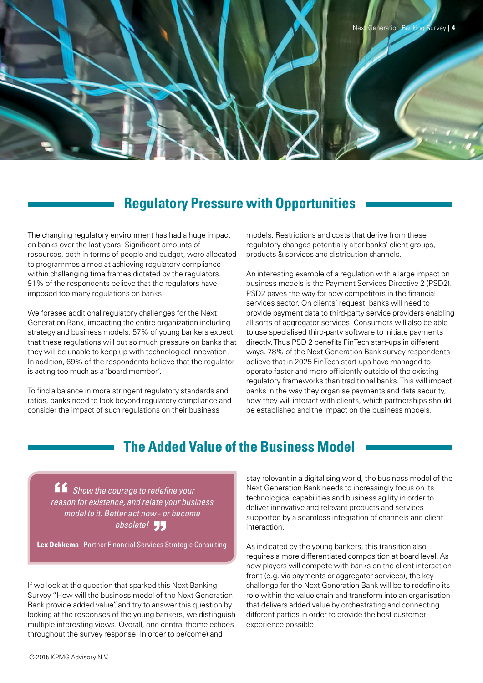

#### **Regulatory Pressure with Opportunities**

The changing regulatory environment has had a huge impact on banks over the last years. Significant amounts of resources, both in terms of people and budget, were allocated to programmes aimed at achieving regulatory compliance within challenging time frames dictated by the regulators. 91% of the respondents believe that the regulators have imposed too many regulations on banks.

We foresee additional regulatory challenges for the Next Generation Bank, impacting the entire organization including strategy and business models. 57% of young bankers expect that these regulations will put so much pressure on banks that they will be unable to keep up with technological innovation. In addition, 69% of the respondents believe that the regulator is acting too much as a 'board member'.

To find a balance in more stringent regulatory standards and ratios, banks need to look beyond regulatory compliance and consider the impact of such regulations on their business

models. Restrictions and costs that derive from these regulatory changes potentially alter banks' client groups, products & services and distribution channels.

An interesting example of a regulation with a large impact on business models is the Payment Services Directive 2 (PSD2). PSD2 paves the way for new competitors in the financial services sector. On clients' request, banks will need to provide payment data to third-party service providers enabling all sorts of aggregator services. Consumers will also be able to use specialised third-party software to initiate payments directly. Thus PSD 2 benefits FinTech start-ups in different ways. 78% of the Next Generation Bank survey respondents believe that in 2025 FinTech start-ups have managed to operate faster and more efficiently outside of the existing regulatory frameworks than traditional banks. This will impact banks in the way they organise payments and data security, how they will interact with clients, which partnerships should be established and the impact on the business models.

#### **The Added Value of the Business Model**

**ff** Show the courage to redefine your<br> **Cason for existence, and relate your busing** *reason for existence, and relate your business model to it. Better act now - or become obsolete!* "

**Lex Dekkema** | Partner Financial Services Strategic Consulting

If we look at the question that sparked this Next Banking Survey "How will the business model of the Next Generation Bank provide added value", and try to answer this question by looking at the responses of the young bankers, we distinguish multiple interesting views. Overall, one central theme echoes throughout the survey response; In order to be(come) and

stay relevant in a digitalising world, the business model of the Next Generation Bank needs to increasingly focus on its technological capabilities and business agility in order to deliver innovative and relevant products and services supported by a seamless integration of channels and client interaction.

As indicated by the young bankers, this transition also requires a more differentiated composition at board level. As new players will compete with banks on the client interaction front (e.g. via payments or aggregator services), the key challenge for the Next Generation Bank will be to redefine its role within the value chain and transform into an organisation that delivers added value by orchestrating and connecting different parties in order to provide the best customer experience possible.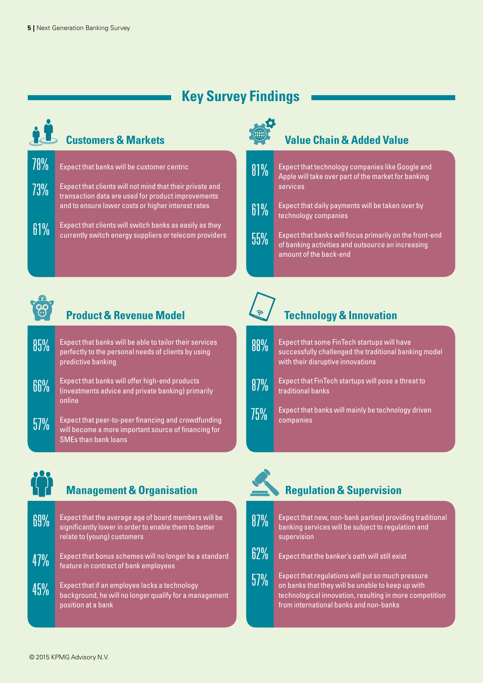# **Key Survey Findings**



#### **Customers & Markets**

| 78% | Expect that banks will be customer centric                                                                                                                           |
|-----|----------------------------------------------------------------------------------------------------------------------------------------------------------------------|
| 73% | Expect that clients will not mind that their private and<br>transaction data are used for product improvements<br>and to ensure lower costs or higher interest rates |
| 61% | Expect that clients will switch banks as easily as they<br>currently switch energy suppliers or telecom providers                                                    |



# **Value Chain & Added Value**





# **Product & Revenue Model**

- Expect that banks will be able to tailor their services perfectly to the personal needs of clients by using predictive banking 78% 85%
- Expect that banks will offer high-end products (investments advice and private banking) primarily online 66%
- Expect that peer-to-peer financing and crowdfunding will become a more important source of financing for SMEs than bank loans 57%

# **Technology & Innovation**

| $88\%$ | Expect that some FinTech startups will have<br>successfully challenged the traditional banking model<br>with their disruptive innovations |
|--------|-------------------------------------------------------------------------------------------------------------------------------------------|
| 87%    | Expect that FinTech startups will pose a threat to<br>traditional banks                                                                   |
| 75%    | Expect that banks will mainly be technology driven<br>companies                                                                           |



# **Management & Organisation**

| 69% | Expect that the average age of board members will be<br>significantly lower in order to enable them to better<br>relate to (young) customers |  |
|-----|----------------------------------------------------------------------------------------------------------------------------------------------|--|
|     |                                                                                                                                              |  |

- Expect that bonus schemes will no longer be a standard feature in contract of bank employees 47%
- Expect that if an employee lacks a technology background, he will no longer qualify for a management position at a bank 45%





57%

supervision



Expect that regulations will put so much pressure on banks that they will be unable to keep up with technological innovation, resulting in more competition

from international banks and non-banks

© 2015 KPMG Advisory N.V.